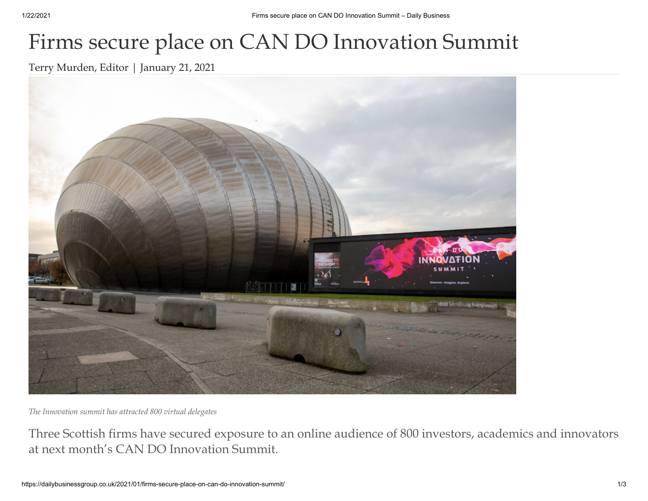## Firms secure place on CAN DO Innovation Summit

[Terry Murden, Editor](https://dailybusinessgroup.co.uk/author/terry/) | [January 21, 2021](https://dailybusinessgroup.co.uk/2021/01/21/)



*The Innovation summit has attracted 800 virtual delegates*

Three Scottish firms have secured exposure to an online audience of 800 investors, academics and innovators at next month's CAN DO Innovation Summit.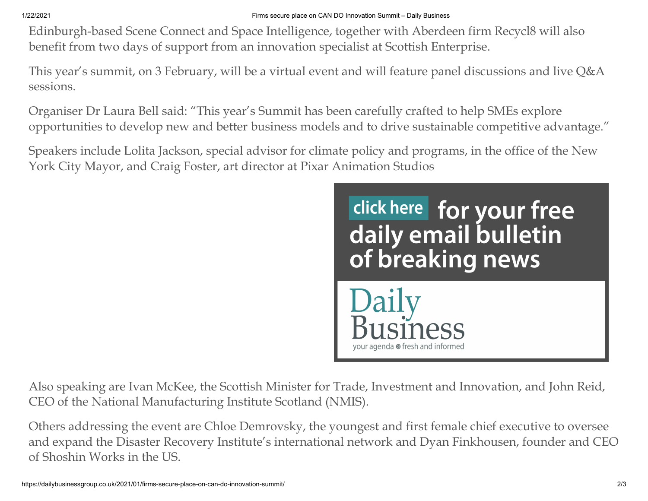Edinburgh-based Scene Connect and Space Intelligence, together with Aberdeen firm Recycl8 will also benefit from two days of support from an innovation specialist at Scottish Enterprise.

This year's summit, on 3 February, will be a virtual event and will feature panel discussions and live Q&A sessions.

Organiser Dr Laura Bell said: "This year's Summit has been carefully crafted to help SMEs explore opportunities to develop new and better business models and to drive sustainable competitive advantage."

Speakers include Lolita Jackson, special advisor for climate policy and programs, in the office of the New York City Mayor, and Craig Foster, art director at Pixar Animation Studios



Also speaking are Ivan McKee, the Scottish Minister for Trade, Investment and Innovation, and John Reid, CEO of the National Manufacturing Institute Scotland (NMIS).

Others addressing the event are Chloe Demrovsky, the youngest and first female chief executive to oversee and expand the Disaster Recovery Institute's international network and Dyan Finkhousen, founder and CEO of Shoshin Works in the US.